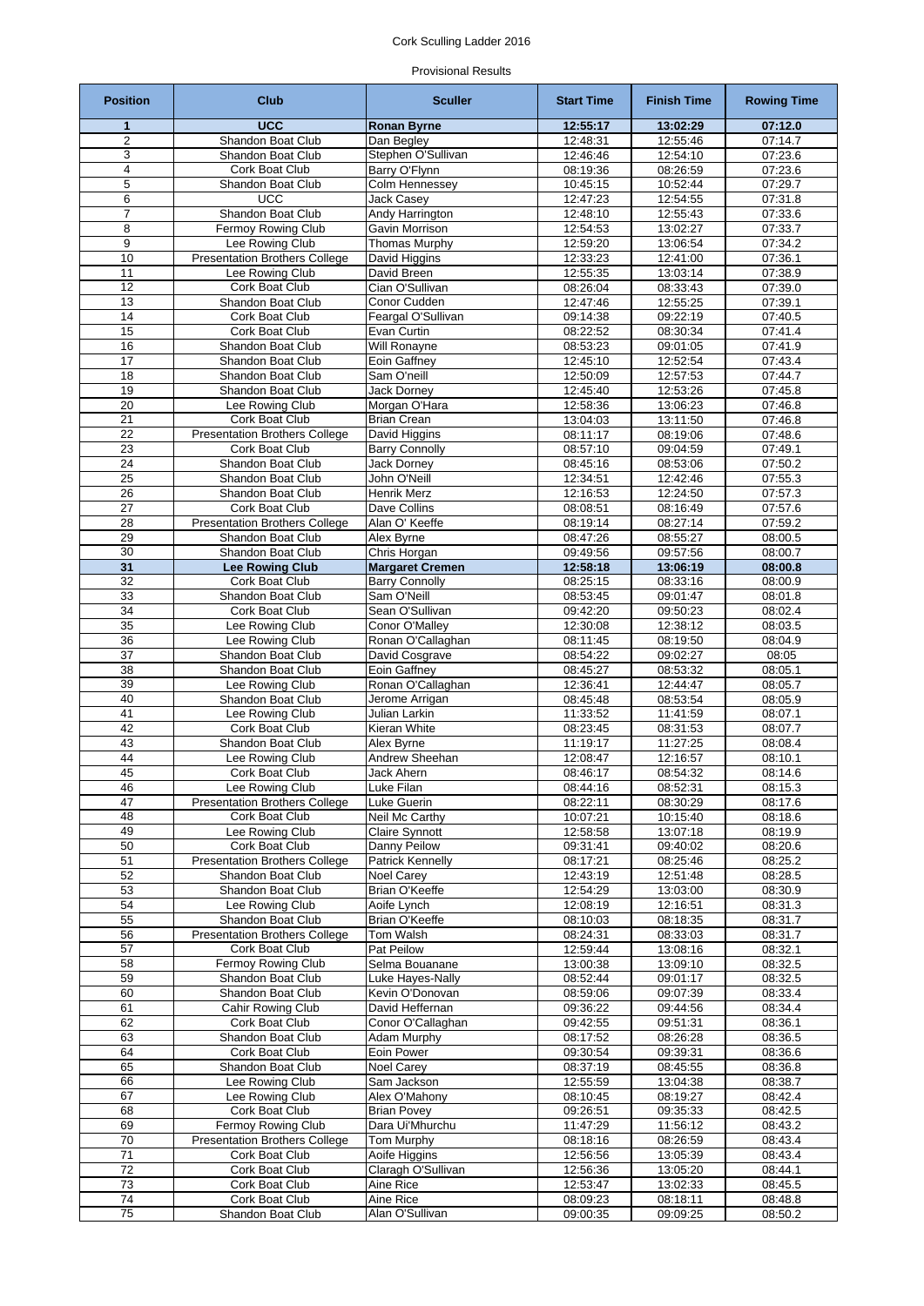# Cork Sculling Ladder 2016

# Provisional Results

| <b>Position</b> | <b>Club</b>                                            | <b>Sculler</b>                         | <b>Start Time</b>    | <b>Finish Time</b>   | <b>Rowing Time</b> |
|-----------------|--------------------------------------------------------|----------------------------------------|----------------------|----------------------|--------------------|
| 1               | <b>UCC</b>                                             | <b>Ronan Byrne</b>                     | 12:55:17             | 13:02:29             | 07:12.0            |
| $\overline{2}$  | Shandon Boat Club                                      | Dan Begley                             | 12:48:31             | 12:55:46             | 07:14.7            |
| 3               | <b>Shandon Boat Club</b>                               | Stephen O'Sullivan                     | 12:46:46             | 12:54:10             | 07:23.6            |
| 4<br>5          | Cork Boat Club<br>Shandon Boat Club                    | Barry O'Flynn<br>Colm Hennessey        | 08:19:36<br>10:45:15 | 08:26:59<br>10:52:44 | 07:23.6<br>07:29.7 |
| 6               | <b>UCC</b>                                             | Jack Casey                             | 12:47:23             | 12:54:55             | 07:31.8            |
| $\overline{7}$  | Shandon Boat Club                                      | Andy Harrington                        | 12:48:10             | 12:55:43             | 07:33.6            |
| 8               | Fermoy Rowing Club                                     | Gavin Morrison                         | 12:54:53             | 13:02:27             | 07:33.7            |
| 9               | Lee Rowing Club                                        | <b>Thomas Murphy</b>                   | 12:59:20             | 13:06:54             | 07:34.2            |
| 10              | <b>Presentation Brothers College</b>                   | David Higgins                          | 12:33:23             | 12:41:00             | 07:36.1            |
| 11              | Lee Rowing Club                                        | David Breen                            | 12:55:35             | 13:03:14             | 07:38.9            |
| $\overline{12}$ | Cork Boat Club                                         | Cian O'Sullivan                        | 08:26:04             | 08:33:43             | 07:39.0            |
| 13<br>14        | Shandon Boat Club<br>Cork Boat Club                    | Conor Cudden<br>Feargal O'Sullivan     | 12:47:46<br>09:14:38 | 12:55:25<br>09:22:19 | 07:39.1<br>07:40.5 |
| 15              | Cork Boat Club                                         | Evan Curtin                            | 08:22:52             | 08:30:34             | 07:41.4            |
| 16              | Shandon Boat Club                                      | Will Ronayne                           | 08:53:23             | 09:01:05             | 07:41.9            |
| 17              | Shandon Boat Club                                      | Eoin Gaffney                           | 12:45:10             | 12:52:54             | 07:43.4            |
| 18              | <b>Shandon Boat Club</b>                               | Sam O'neill                            | 12:50:09             | 12:57:53             | 07:44.7            |
| 19              | Shandon Boat Club                                      | <b>Jack Dorney</b>                     | 12:45:40             | 12:53:26             | 07:45.8            |
| 20              | Lee Rowing Club                                        | Morgan O'Hara                          | 12:58:36             | 13:06:23             | 07:46.8            |
| $\overline{21}$ | <b>Cork Boat Club</b>                                  | <b>Brian Crean</b>                     | 13:04:03             | 13:11:50             | 07:46.8            |
| 22<br>23        | <b>Presentation Brothers College</b><br>Cork Boat Club | David Higgins<br><b>Barry Connolly</b> | 08:11:17<br>08:57:10 | 08:19:06<br>09:04:59 | 07:48.6<br>07:49.1 |
| 24              | Shandon Boat Club                                      | <b>Jack Dorney</b>                     | 08:45:16             | 08:53:06             | 07:50.2            |
| $\overline{25}$ | Shandon Boat Club                                      | John O'Neill                           | 12:34:51             | 12:42:46             | 07:55.3            |
| 26              | Shandon Boat Club                                      | Henrik Merz                            | 12:16:53             | 12:24:50             | 07:57.3            |
| 27              | <b>Cork Boat Club</b>                                  | Dave Collins                           | 08:08:51             | 08:16:49             | 07:57.6            |
| $\overline{28}$ | <b>Presentation Brothers College</b>                   | Alan O' Keeffe                         | 08:19:14             | 08:27:14             | 07:59.2            |
| 29              | Shandon Boat Club                                      | Alex Byrne                             | 08:47:26             | 08:55:27             | 08:00.5            |
| 30              | Shandon Boat Club                                      | Chris Horgan                           | 09:49:56             | 09:57:56             | 08:00.7            |
| 31              | <b>Lee Rowing Club</b><br><b>Cork Boat Club</b>        | <b>Margaret Cremen</b>                 | 12:58:18             | 13:06:19             | 08:00.8            |
| 32<br>33        | Shandon Boat Club                                      | <b>Barry Connolly</b><br>Sam O'Neill   | 08:25:15<br>08:53:45 | 08:33:16<br>09:01:47 | 08:00.9<br>08:01.8 |
| 34              | Cork Boat Club                                         | Sean O'Sullivan                        | 09:42:20             | 09:50:23             | 08:02.4            |
| 35              | Lee Rowing Club                                        | Conor O'Malley                         | 12:30:08             | 12:38:12             | 08:03.5            |
| 36              | Lee Rowing Club                                        | Ronan O'Callaghan                      | 08:11:45             | 08:19:50             | 08:04.9            |
| 37              | <b>Shandon Boat Club</b>                               | David Cosgrave                         | 08:54:22             | 09:02:27             | 08:05              |
| $\overline{38}$ | Shandon Boat Club                                      | Eoin Gaffney                           | 08:45:27             | 08:53:32             | 08:05.1            |
| 39              | Lee Rowing Club                                        | Ronan O'Callaghan                      | 12:36:41             | 12:44:47             | 08:05.7            |
| 40              | Shandon Boat Club                                      | Jerome Arrigan                         | 08:45:48             | 08:53:54             | 08:05.9            |
| 41<br>42        | Lee Rowing Club<br>Cork Boat Club                      | Julian Larkin<br>Kieran White          | 11:33:52             | 11:41:59<br>08:31:53 | 08:07.1<br>08:07.7 |
| $\overline{43}$ | Shandon Boat Club                                      | Alex Byrne                             | 08:23:45<br>11:19:17 | 11:27:25             | 08:08.4            |
| 44              | Lee Rowing Club                                        | Andrew Sheehan                         | 12:08:47             | 12:16:57             | 08:10.1            |
| 45              | Cork Boat Club                                         | Jack Ahern                             | 08:46:17             | 08:54:32             | 08:14.6            |
| 46              | Lee Rowing Club                                        | Luke Filan                             | 08:44:16             | 08:52:31             | 08:15.3            |
| 47              | <b>Presentation Brothers College</b>                   | Luke Guerin                            | 08:22:11             | 08:30:29             | 08:17.6            |
| 48              | Cork Boat Club                                         | Neil Mc Carthy                         | 10:07:21             | 10:15:40             | 08:18.6            |
| 49              | Lee Rowing Club                                        | Claire Synnott                         | 12:58:58             | 13:07:18             | 08:19.9            |
| 50              | Cork Boat Club<br><b>Presentation Brothers College</b> | Danny Peilow                           | 09:31:41<br>08:17:21 | 09:40:02             | 08:20.6            |
| 51<br>52        | Shandon Boat Club                                      | Patrick Kennelly<br>Noel Carey         | 12:43:19             | 08:25:46<br>12:51:48 | 08:25.2<br>08:28.5 |
| 53              | Shandon Boat Club                                      | Brian O'Keeffe                         | 12:54:29             | 13:03:00             | 08:30.9            |
| 54              | Lee Rowing Club                                        | Aoife Lynch                            | 12:08:19             | 12:16:51             | 08:31.3            |
| 55              | Shandon Boat Club                                      | Brian O'Keeffe                         | 08:10:03             | 08:18:35             | 08:31.7            |
| 56              | <b>Presentation Brothers College</b>                   | Tom Walsh                              | 08:24:31             | 08:33:03             | 08:31.7            |
| 57              | Cork Boat Club                                         | Pat Peilow                             | 12:59:44             | 13:08:16             | 08:32.1            |
| 58              | Fermoy Rowing Club                                     | Selma Bouanane                         | 13:00:38             | 13:09:10             | 08:32.5            |
| 59<br>60        | Shandon Boat Club<br>Shandon Boat Club                 | Luke Hayes-Nally<br>Kevin O'Donovan    | 08:52:44<br>08:59:06 | 09:01:17<br>09:07:39 | 08:32.5<br>08:33.4 |
| 61              | Cahir Rowing Club                                      | David Heffernan                        | 09:36:22             | 09:44:56             | 08:34.4            |
| 62              | Cork Boat Club                                         | Conor O'Callaghan                      | 09:42:55             | 09:51:31             | 08:36.1            |
| 63              | Shandon Boat Club                                      | Adam Murphy                            | 08:17:52             | 08:26:28             | 08:36.5            |
| 64              | Cork Boat Club                                         | Eoin Power                             | 09:30:54             | 09:39:31             | 08:36.6            |
| 65              | Shandon Boat Club                                      | Noel Carey                             | 08:37:19             | 08:45:55             | 08:36.8            |
| 66              | Lee Rowing Club                                        | Sam Jackson                            | 12:55:59             | 13:04:38             | 08:38.7            |
| 67              | Lee Rowing Club                                        | Alex O'Mahony                          | 08:10:45             | 08:19:27             | 08:42.4            |
| 68<br>69        | Cork Boat Club<br>Fermoy Rowing Club                   | <b>Brian Povey</b><br>Dara Ui'Mhurchu  | 09:26:51<br>11:47:29 | 09:35:33<br>11:56:12 | 08:42.5<br>08:43.2 |
| 70              | <b>Presentation Brothers College</b>                   | Tom Murphy                             | 08:18:16             | 08:26:59             | 08:43.4            |
| 71              | Cork Boat Club                                         | Aoife Higgins                          | 12:56:56             | 13:05:39             | 08:43.4            |
| 72              | Cork Boat Club                                         | Claragh O'Sullivan                     | 12:56:36             | 13:05:20             | 08:44.1            |
| 73              | Cork Boat Club                                         | Aine Rice                              | 12:53:47             | 13:02:33             | 08:45.5            |
| $\overline{74}$ | Cork Boat Club                                         | Aine Rice                              | 08:09:23             | 08:18:11             | 08:48.8            |
| 75              | Shandon Boat Club                                      | Alan O'Sullivan                        | 09:00:35             | 09:09:25             | 08:50.2            |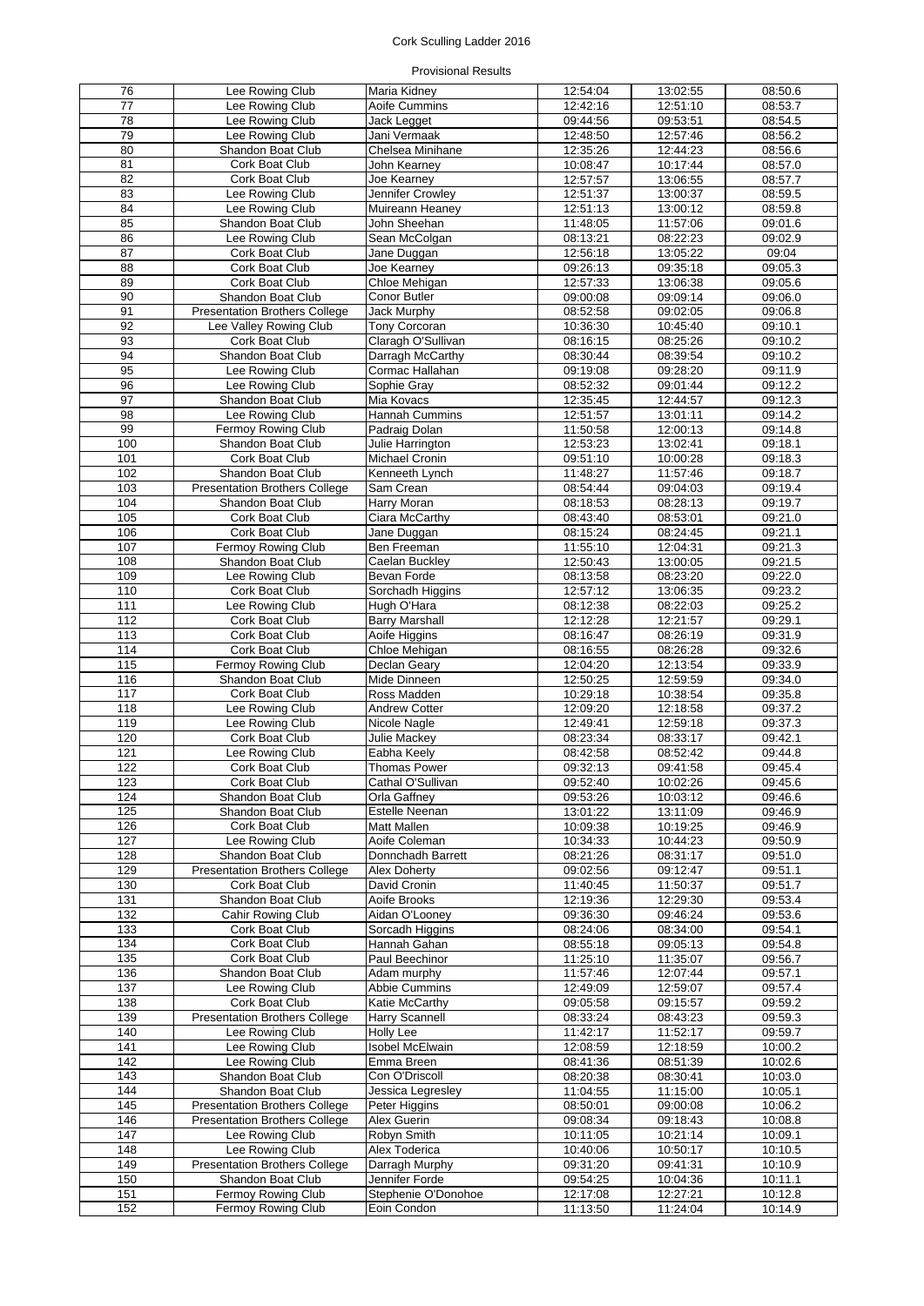# Cork Sculling Ladder 2016

# Provisional Results

| 76              | Lee Rowing Club                      | Maria Kidney           | 12:54:04 | 13:02:55              | 08:50.6              |
|-----------------|--------------------------------------|------------------------|----------|-----------------------|----------------------|
| $\overline{77}$ |                                      |                        | 12:42:16 |                       |                      |
|                 | Lee Rowing Club                      | Aoife Cummins          |          | 12:51:10              | 08:53.7              |
| 78              | Lee Rowing Club                      | Jack Legget            | 09:44:56 | 09:53:51              | 08:54.5              |
| 79              | Lee Rowing Club                      | Jani Vermaak           | 12:48:50 | 12:57:46              | 08:56.2              |
| 80              | Shandon Boat Club                    | Chelsea Minihane       | 12:35:26 | 12:44:23              | 08:56.6              |
|                 |                                      |                        |          |                       |                      |
| 81              | Cork Boat Club                       | John Kearney           | 10:08:47 | 10:17:44              | 08:57.0              |
| 82              | Cork Boat Club                       | Joe Kearney            | 12:57:57 | 13:06:55              | 08:57.7              |
| 83              | Lee Rowing Club                      | Jennifer Crowley       | 12:51:37 | 13:00:37              | 08:59.5              |
| 84              | Lee Rowing Club                      | Muireann Heaney        | 12:51:13 | 13:00:12              | 08:59.8              |
|                 |                                      |                        |          |                       |                      |
| 85              | Shandon Boat Club                    | John Sheehan           | 11:48:05 | 11:57:06              | 09:01.6              |
| 86              | Lee Rowing Club                      | Sean McColgan          | 08:13:21 | 08:22:23              | 09:02.9              |
| 87              | Cork Boat Club                       | Jane Duggan            | 12:56:18 | 13:05:22              | 09:04                |
| $\overline{88}$ | Cork Boat Club                       | Joe Kearnev            | 09:26:13 | 09:35:18              | 09:05.3              |
| 89              | Cork Boat Club                       | Chloe Mehigan          | 12:57:33 | 13:06:38              | 09:05.6              |
|                 |                                      |                        |          |                       |                      |
| 90              | Shandon Boat Club                    | Conor Butler           | 09:00:08 | 09:09:14              | 09:06.0              |
| 91              | <b>Presentation Brothers College</b> | Jack Murphy            | 08:52:58 | 09:02:05              | 09:06.8              |
| 92              | Lee Valley Rowing Club               | <b>Tony Corcoran</b>   | 10:36:30 | 10:45:40              | 09:10.1              |
| 93              | Cork Boat Club                       | Claragh O'Sullivan     | 08:16:15 | 08:25:26              | 09:10.2              |
|                 |                                      |                        |          |                       |                      |
| 94              | Shandon Boat Club                    | Darragh McCarthy       | 08:30:44 | 08:39:54              | 09:10.2              |
| 95              | Lee Rowing Club                      | Cormac Hallahan        | 09:19:08 | 09:28:20              | 09:11.9              |
| 96              | Lee Rowing Club                      | Sophie Gray            | 08:52:32 | 09:01:44              | 09:12.2              |
| 97              | Shandon Boat Club                    | Mia Kovacs             | 12:35:45 | 12:44:57              | $\overline{09:}12.3$ |
|                 |                                      |                        |          |                       |                      |
| $\overline{98}$ | Lee Rowing Club                      | Hannah Cummins         | 12:51:57 | 13:01:11              | 09:14.2              |
| 99              | Fermoy Rowing Club                   | Padraig Dolan          | 11:50:58 | 12:00:13              | 09:14.8              |
| 100             | Shandon Boat Club                    | Julie Harrington       | 12:53:23 | 13:02:41              | 09:18.1              |
| 101             | Cork Boat Club                       | Michael Cronin         | 09:51:10 | 10:00:28              | 09:18.3              |
| 102             |                                      |                        |          |                       |                      |
|                 | Shandon Boat Club                    | Kenneeth Lynch         | 11:48:27 | 11:57:46              | 09:18.7              |
| 103             | <b>Presentation Brothers College</b> | Sam Crean              | 08:54:44 | 09:04:03              | 09:19.4              |
| 104             | Shandon Boat Club                    | Harry Moran            | 08:18:53 | 08:28:13              | 09:19.7              |
| 105             | Cork Boat Club                       | Ciara McCarthy         | 08:43:40 | 08:53:01              | 09:21.0              |
|                 | Cork Boat Club                       |                        |          | 08:24:45              |                      |
| 106             |                                      | Jane Duggan            | 08:15:24 |                       | 09:21.1              |
| 107             | Fermoy Rowing Club                   | Ben Freeman            | 11:55:10 | 12:04:31              | 09:21.3              |
| 108             | Shandon Boat Club                    | Caelan Buckley         | 12:50:43 | 13:00:05              | 09:21.5              |
| 109             | Lee Rowing Club                      | Bevan Forde            | 08:13:58 | 08:23:20              | 09:22.0              |
| 110             | Cork Boat Club                       | Sorchadh Higgins       | 12:57:12 | 13:06:35              | 09:23.2              |
|                 |                                      |                        |          |                       |                      |
| 111             | Lee Rowing Club                      | Hugh O'Hara            | 08:12:38 | 08:22:03              | 09:25.2              |
| $\frac{1}{12}$  | Cork Boat Club                       | <b>Barry Marshall</b>  | 12:12:28 | 12:21:57              | 09:29.1              |
| 113             | Cork Boat Club                       | Aoife Higgins          | 08:16:47 | 08:26:19              | 09:31.9              |
| 114             | Cork Boat Club                       | Chloe Mehigan          | 08:16:55 | 08:26:28              | 09:32.6              |
|                 |                                      |                        |          |                       |                      |
| 115             | Fermoy Rowing Club                   | Declan Geary           | 12:04:20 | 12:13:54              | 09:33.9              |
| 116             | Shandon Boat Club                    | Mide Dinneen           | 12:50:25 | 12:59:59              | 09:34.0              |
| 117             | Cork Boat Club                       | Ross Madden            | 10:29:18 | 10:38:54              | 09:35.8              |
| 118             | Lee Rowing Club                      | <b>Andrew Cotter</b>   | 12:09:20 | 12:18:58              | 09:37.2              |
| 119             |                                      | Nicole Nagle           |          |                       |                      |
|                 | Lee Rowing Club                      |                        | 12:49:41 | 12:59:18              | 09:37.3              |
| 120             | <b>Cork Boat Club</b>                | <b>Julie Mackey</b>    | 08:23:34 | 08:33:17              | 09:42.1              |
| 121             | Lee Rowing Club                      | Eabha Keely            | 08:42:58 | 08:52:42              | 09:44.8              |
| 122             | Cork Boat Club                       | <b>Thomas Power</b>    | 09:32:13 | 09:41:58              | 09:45.4              |
| 123             | Cork Boat Club                       | Cathal O'Sullivan      | 09:52:40 | 10:02:26              | 09:45.6              |
|                 |                                      |                        |          |                       |                      |
| 124             | Shandon Boat Club                    | Orla Gaffney           | 09:53:26 | 10:03:12              | 09:46.6              |
| 125             | Shandon Boat Club                    | <b>Estelle Neenan</b>  | 13:01:22 | 13:11:09              | 09:46.9              |
| 126             | Cork Boat Club                       | <b>Matt Mallen</b>     | 10:09:38 | 10:19:25              | 09:46.9              |
| 127             | Lee Rowing Club                      | Aoife Coleman          | 10:34:33 | 10:44:23              | 09:50.9              |
| 128             | Shandon Boat Club                    | Donnchadh Barrett      | 08:21:26 | 08:31:17              | 09:51.0              |
|                 |                                      |                        |          |                       |                      |
| 129             | <b>Presentation Brothers College</b> | <b>Alex Doherty</b>    | 09:02:56 | 09:12:47              | 09:51.1              |
| 130             | Cork Boat Club                       | David Cronin           | 11:40:45 | 11:50:37              | 09:51.7              |
| 131             | Shandon Boat Club                    | Aoife Brooks           | 12:19:36 | 12:29:30              | 09:53.4              |
| 132             | Cahir Rowing Club                    | Aidan O'Looney         | 09:36:30 | 09:46:24              | 09:53.6              |
| 133             | Cork Boat Club                       | Sorcadh Higgins        |          | 08:34:00              | 09:54.1              |
|                 |                                      |                        | 08:24:06 |                       |                      |
| 134             | Cork Boat Club                       | Hannah Gahan           | 08:55:18 | $\overline{09:05:13}$ | 09:54.8              |
| 135             | Cork Boat Club                       | Paul Beechinor         | 11:25:10 | 11:35:07              | 09:56.7              |
| 136             | Shandon Boat Club                    | Adam murphy            | 11:57:46 | 12:07:44              | 09:57.1              |
| 137             | Lee Rowing Club                      | Abbie Cummins          | 12:49:09 | 12:59:07              | 09:57.4              |
| 138             | Cork Boat Club                       | Katie McCarthy         | 09:05:58 |                       | 09:59.2              |
|                 |                                      |                        |          | 09:15:57              |                      |
| 139             | <b>Presentation Brothers College</b> | <b>Harry Scannell</b>  | 08:33:24 | 08:43:23              | 09:59.3              |
| 140             | Lee Rowing Club                      | <b>Holly Lee</b>       | 11:42:17 | 11:52:17              | 09:59.7              |
| 141             | Lee Rowing Club                      | <b>Isobel McElwain</b> | 12:08:59 | 12:18:59              | 10:00.2              |
| 142             | Lee Rowing Club                      | Emma Breen             | 08:41:36 | 08:51:39              | 10:02.6              |
|                 |                                      |                        |          |                       |                      |
| 143             | Shandon Boat Club                    | Con O'Driscoll         | 08:20:38 | 08:30:41              | 10:03.0              |
| 144             | Shandon Boat Club                    | Jessica Legresley      | 11:04:55 | 11:15:00              | 10:05.1              |
| 145             | <b>Presentation Brothers College</b> | Peter Higgins          | 08:50:01 | 09:00:08              | 10:06.2              |
| 146             | <b>Presentation Brothers College</b> | Alex Guerin            | 09:08:34 | 09:18:43              | 10:08.8              |
| 147             | Lee Rowing Club                      | Robyn Smith            | 10:11:05 | 10:21:14              | 10:09.1              |
|                 |                                      |                        |          |                       |                      |
| 148             | Lee Rowing Club                      | Alex Toderica          | 10:40:06 | 10:50:17              | 10:10.5              |
| 149             | <b>Presentation Brothers College</b> | Darragh Murphy         | 09:31:20 | 09:41:31              | 10:10.9              |
| 150             | Shandon Boat Club                    | Jennifer Forde         | 09:54:25 | 10:04:36              | 10:11.1              |
| 151             | Fermoy Rowing Club                   | Stephenie O'Donohoe    | 12:17:08 | 12:27:21              | 10:12.8              |
|                 |                                      |                        |          |                       |                      |
| 152             | Fermoy Rowing Club                   | Eoin Condon            | 11:13:50 | 11:24:04              | 10:14.9              |